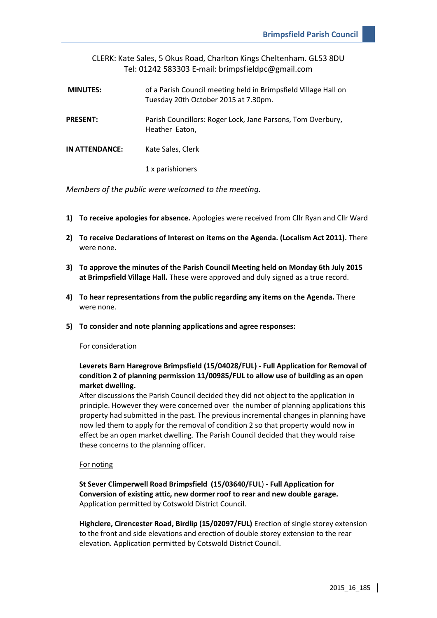|                 | CLERK: Kate Sales, 5 Okus Road, Charlton Kings Cheltenham. GL53 8DU<br>Tel: 01242 583303 E-mail: brimpsfieldpc@gmail.com |
|-----------------|--------------------------------------------------------------------------------------------------------------------------|
| <b>MINUTES:</b> | of a Parish Council meeting held in Brimpsfield Village Hall on<br>Tuesday 20th October 2015 at 7.30pm.                  |
| <b>PRESENT:</b> | Parish Councillors: Roger Lock, Jane Parsons, Tom Overbury,<br>Heather Eaton,                                            |
| IN ATTENDANCE:  | Kate Sales, Clerk                                                                                                        |
|                 | 1 x parishioners                                                                                                         |

*Members of the public were welcomed to the meeting.*

- **1) To receive apologies for absence.** Apologies were received from Cllr Ryan and Cllr Ward
- **2) To receive Declarations of Interest on items on the Agenda. (Localism Act 2011).** There were none.
- **3) To approve the minutes of the Parish Council Meeting held on Monday 6th July 2015 at Brimpsfield Village Hall.** These were approved and duly signed as a true record.
- **4) To hear representations from the public regarding any items on the Agenda.** There were none.
- **5) To consider and note planning applications and agree responses:**

# For consideration

# **Leverets Barn Haregrove Brimpsfield (15/04028/FUL) - Full Application for Removal of condition 2 of planning permission 11/00985/FUL to allow use of building as an open market dwelling.**

After discussions the Parish Council decided they did not object to the application in principle. However they were concerned over the number of planning applications this property had submitted in the past. The previous incremental changes in planning have now led them to apply for the removal of condition 2 so that property would now in effect be an open market dwelling. The Parish Council decided that they would raise these concerns to the planning officer.

### For noting

**St Sever Climperwell Road Brimpsfield (15/03640/FUL**) **- Full Application for Conversion of existing attic, new dormer roof to rear and new double garage.** Application permitted by Cotswold District Council.

**Highclere, Cirencester Road, Birdlip (15/02097/FUL)** Erection of single storey extension to the front and side elevations and erection of double storey extension to the rear elevation. Application permitted by Cotswold District Council.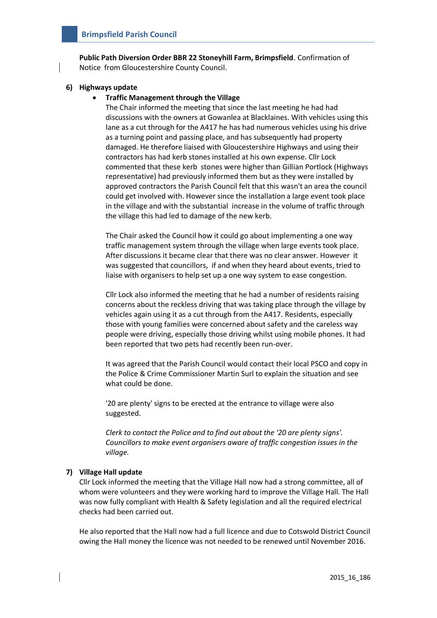**Public Path Diversion Order BBR 22 Stoneyhill Farm, Brimpsfield**. Confirmation of Notice from Gloucestershire County Council.

## **6) Highways update**

## **Traffic Management through the Village**

The Chair informed the meeting that since the last meeting he had had discussions with the owners at Gowanlea at Blacklaines. With vehicles using this lane as a cut through for the A417 he has had numerous vehicles using his drive as a turning point and passing place, and has subsequently had property damaged. He therefore liaised with Gloucestershire Highways and using their contractors has had kerb stones installed at his own expense. Cllr Lock commented that these kerb stones were higher than Gillian Portlock (Highways representative) had previously informed them but as they were installed by approved contractors the Parish Council felt that this wasn't an area the council could get involved with. However since the installation a large event took place in the village and with the substantial increase in the volume of traffic through the village this had led to damage of the new kerb.

The Chair asked the Council how it could go about implementing a one way traffic management system through the village when large events took place. After discussions it became clear that there was no clear answer. However it was suggested that councillors, if and when they heard about events, tried to liaise with organisers to help set up a one way system to ease congestion.

Cllr Lock also informed the meeting that he had a number of residents raising concerns about the reckless driving that was taking place through the village by vehicles again using it as a cut through from the A417. Residents, especially those with young families were concerned about safety and the careless way people were driving, especially those driving whilst using mobile phones. It had been reported that two pets had recently been run-over.

It was agreed that the Parish Council would contact their local PSCO and copy in the Police & Crime Commissioner Martin Surl to explain the situation and see what could be done.

'20 are plenty' signs to be erected at the entrance to village were also suggested.

*Clerk to contact the Police and to find out about the '20 are plenty signs'. Councillors to make event organisers aware of traffic congestion issues in the village.*

# **7) Village Hall update**

Cllr Lock informed the meeting that the Village Hall now had a strong committee, all of whom were volunteers and they were working hard to improve the Village Hall. The Hall was now fully compliant with Health & Safety legislation and all the required electrical checks had been carried out.

He also reported that the Hall now had a full licence and due to Cotswold District Council owing the Hall money the licence was not needed to be renewed until November 2016.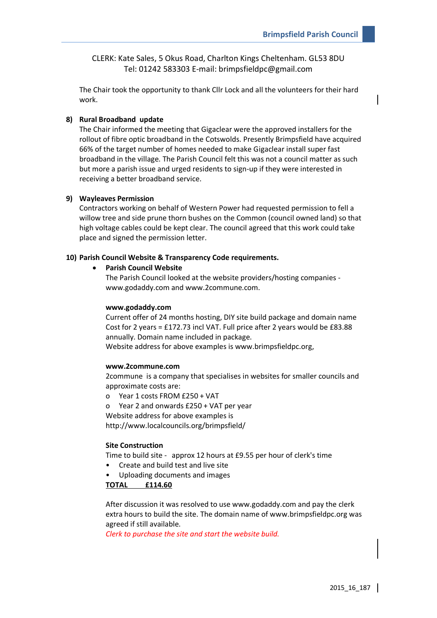CLERK: Kate Sales, 5 Okus Road, Charlton Kings Cheltenham. GL53 8DU Tel: 01242 583303 E-mail: brimpsfieldpc@gmail.com

The Chair took the opportunity to thank Cllr Lock and all the volunteers for their hard work.

# **8) Rural Broadband update**

The Chair informed the meeting that Gigaclear were the approved installers for the rollout of fibre optic broadband in the Cotswolds. Presently Brimpsfield have acquired 66% of the target number of homes needed to make Gigaclear install super fast broadband in the village. The Parish Council felt this was not a council matter as such but more a parish issue and urged residents to sign-up if they were interested in receiving a better broadband service.

#### **9) Wayleaves Permission**

Contractors working on behalf of Western Power had requested permission to fell a willow tree and side prune thorn bushes on the Common (council owned land) so that high voltage cables could be kept clear. The council agreed that this work could take place and signed the permission letter.

#### **10) Parish Council Website & Transparency Code requirements.**

#### **Parish Council Website**

The Parish Council looked at the website providers/hosting companies www.godaddy.com and www.2commune.com.

#### **www.godaddy.com**

Current offer of 24 months hosting, DIY site build package and domain name Cost for 2 years = £172.73 incl VAT. Full price after 2 years would be £83.88 annually. Domain name included in package.

Website address for above examples is www.brimpsfieldpc.org,

### **www.2commune.com**

2commune is a company that specialises in websites for smaller councils and approximate costs are:

o Year 1 costs FROM £250 + VAT

o Year 2 and onwards £250 + VAT per year

Website address for above examples is

http://www.localcouncils.org/brimpsfield/

## **Site Construction**

Time to build site - approx 12 hours at £9.55 per hour of clerk's time

- Create and build test and live site
- Uploading documents and images

**TOTAL £114.60**

After discussion it was resolved to use www.godaddy.com and pay the clerk extra hours to build the site. The domain name of www.brimpsfieldpc.org was agreed if still available.

*Clerk to purchase the site and start the website build.*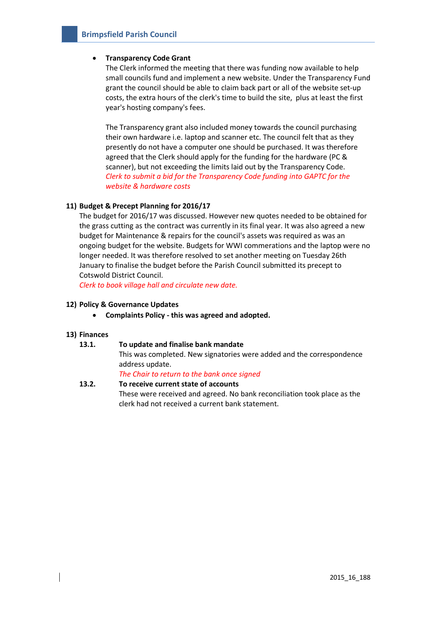# **Transparency Code Grant**

The Clerk informed the meeting that there was funding now available to help small councils fund and implement a new website. Under the Transparency Fund grant the council should be able to claim back part or all of the website set-up costs, the extra hours of the clerk's time to build the site, plus at least the first year's hosting company's fees.

The Transparency grant also included money towards the council purchasing their own hardware i.e. laptop and scanner etc. The council felt that as they presently do not have a computer one should be purchased. It was therefore agreed that the Clerk should apply for the funding for the hardware (PC & scanner), but not exceeding the limits laid out by the Transparency Code. *Clerk to submit a bid for the Transparency Code funding into GAPTC for the website & hardware costs* 

# **11) Budget & Precept Planning for 2016/17**

The budget for 2016/17 was discussed. However new quotes needed to be obtained for the grass cutting as the contract was currently in its final year. It was also agreed a new budget for Maintenance & repairs for the council's assets was required as was an ongoing budget for the website. Budgets for WWI commerations and the laptop were no longer needed. It was therefore resolved to set another meeting on Tuesday 26th January to finalise the budget before the Parish Council submitted its precept to Cotswold District Council.

*Clerk to book village hall and circulate new date.*

## **12) Policy & Governance Updates**

**Complaints Policy - this was agreed and adopted.**

### **13) Finances**

# **13.1. To update and finalise bank mandate**

This was completed. New signatories were added and the correspondence address update.

*The Chair to return to the bank once signed*

**13.2. To receive current state of accounts** These were received and agreed. No bank reconciliation took place as the clerk had not received a current bank statement.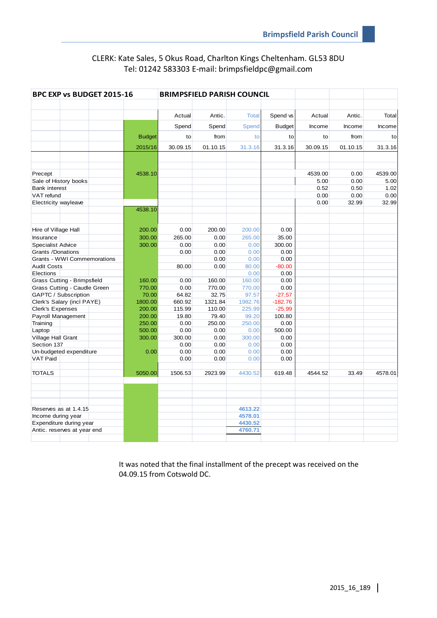# CLERK: Kate Sales, 5 Okus Road, Charlton Kings Cheltenham. GL53 8DU Tel: 01242 583303 E-mail: brimpsfieldpc@gmail.com

| BPC EXP vs BUDGET 2015-16                  |  | <b>BRIMPSFIELD PARISH COUNCIL</b> |              |              |              |               |          |          |         |
|--------------------------------------------|--|-----------------------------------|--------------|--------------|--------------|---------------|----------|----------|---------|
|                                            |  |                                   |              |              |              |               |          |          |         |
|                                            |  |                                   | Actual       | Antic.       | <b>Total</b> | Spend vs      | Actual   | Antic.   | Total   |
|                                            |  |                                   | Spend        | Spend        | Spend        | <b>Budget</b> | Income   | Income   | Income  |
|                                            |  | <b>Budget</b>                     | to           | from         | to           | to            | to       | from     | to      |
|                                            |  | 2015/16                           | 30.09.15     | 01.10.15     | 31.3.16      | 31.3.16       | 30.09.15 | 01.10.15 | 31.3.16 |
|                                            |  |                                   |              |              |              |               |          |          |         |
|                                            |  |                                   |              |              |              |               |          |          |         |
| Precept                                    |  | 4538.10                           |              |              |              |               | 4539.00  | 0.00     | 4539.00 |
| Sale of History books                      |  |                                   |              |              |              |               | 5.00     | 0.00     | 5.00    |
| <b>Bank interest</b>                       |  |                                   |              |              |              |               | 0.52     | 0.50     | 1.02    |
| VAT refund                                 |  |                                   |              |              |              |               | 0.00     | 0.00     | 0.00    |
| Electricity wayleave                       |  |                                   |              |              |              |               | 0.00     | 32.99    | 32.99   |
|                                            |  | 4538.10                           |              |              |              |               |          |          |         |
|                                            |  |                                   |              |              |              |               |          |          |         |
| Hire of Village Hall                       |  | 200.00                            | 0.00         | 200.00       | 200.00       | 0.00          |          |          |         |
| Insurance                                  |  | 300.00                            | 265.00       | 0.00         | 265.00       | 35.00         |          |          |         |
| <b>Specialist Advice</b>                   |  | 300.00                            | 0.00         | 0.00         | 0.00         | 300.00        |          |          |         |
| Grants /Donations                          |  |                                   | 0.00         | 0.00         | 0.00         | 0.00          |          |          |         |
| Grants - WWI Commemorations                |  |                                   |              | 0.00         | 0.00         | 0.00          |          |          |         |
| <b>Audit Costs</b>                         |  |                                   | 80.00        | 0.00         | 80.00        | $-80.00$      |          |          |         |
| Elections                                  |  |                                   |              |              | 0.00         | 0.00          |          |          |         |
| Grass Cutting - Brimpsfield                |  | 160.00                            | 0.00         | 160.00       | 160.00       | 0.00          |          |          |         |
| Grass Cutting - Caudle Green               |  | 770.00                            | 0.00         | 770.00       | 770.00       | 0.00          |          |          |         |
| GAPTC / Subscription                       |  | 70.00                             | 64.82        | 32.75        | 97.57        | $-27.57$      |          |          |         |
| Clerk's Salary (incl PAYE)                 |  | 1800.00                           | 660.92       | 1321.84      | 1982.76      | $-182.76$     |          |          |         |
| Clerk's Expenses                           |  | 200.00                            | 115.99       | 110.00       | 225.99       | $-25.99$      |          |          |         |
| Payroll Management                         |  | 200.00                            | 19.80        | 79.40        | 99.20        | 100.80        |          |          |         |
| Training                                   |  | 250.00                            | 0.00         | 250.00       | 250.00       | 0.00          |          |          |         |
| Laptop                                     |  | 500.00                            | 0.00         | 0.00         | 0.00         | 500.00        |          |          |         |
| Village Hall Grant                         |  | 300.00                            | 300.00       | 0.00         | 300.00       | 0.00          |          |          |         |
| Section 137                                |  | 0.00                              | 0.00<br>0.00 | 0.00<br>0.00 | 0.00<br>0.00 | 0.00<br>0.00  |          |          |         |
| Un-budgeted expenditure<br><b>VAT Paid</b> |  |                                   | 0.00         | 0.00         | 0.00         | 0.00          |          |          |         |
|                                            |  |                                   |              |              |              |               |          |          |         |
| <b>TOTALS</b>                              |  | 5050.00                           | 1506.53      | 2923.99      | 4430.52      | 619.48        | 4544.52  | 33.49    | 4578.01 |
|                                            |  |                                   |              |              |              |               |          |          |         |
|                                            |  |                                   |              |              |              |               |          |          |         |
|                                            |  |                                   |              |              |              |               |          |          |         |
| Reserves as at 1.4.15                      |  |                                   |              |              | 4613.22      |               |          |          |         |
| Income during year                         |  |                                   |              | 4578.01      |              |               |          |          |         |
| Expenditure during year                    |  |                                   |              |              | 4430.52      |               |          |          |         |
| Antic. reserves at year end                |  |                                   |              |              | 4760.71      |               |          |          |         |
|                                            |  |                                   |              |              |              |               |          |          |         |

It was noted that the final installment of the precept was received on the 04.09.15 from Cotswold DC.